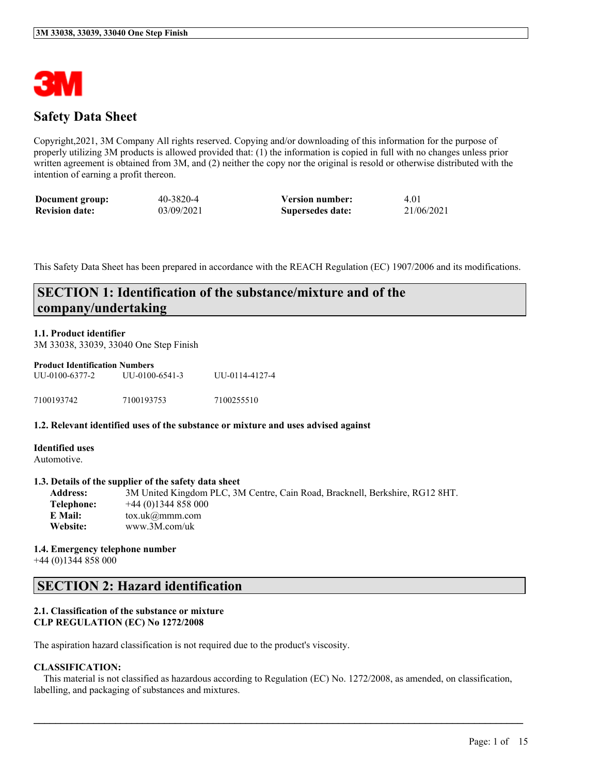

### **Safety Data Sheet**

Copyright,2021, 3M Company All rights reserved. Copying and/or downloading of this information for the purpose of properly utilizing 3M products is allowed provided that: (1) the information is copied in full with no changes unless prior written agreement is obtained from 3M, and (2) neither the copy nor the original is resold or otherwise distributed with the intention of earning a profit thereon.

| Document group:       | 40-3820-4  | <b>Version number:</b> | 4.01       |
|-----------------------|------------|------------------------|------------|
| <b>Revision date:</b> | 03/09/2021 | Supersedes date:       | 21/06/2021 |

This Safety Data Sheet has been prepared in accordance with the REACH Regulation (EC) 1907/2006 and its modifications.

### **SECTION 1: Identification of the substance/mixture and of the company/undertaking**

#### **1.1. Product identifier**

3M 33038, 33039, 33040 One Step Finish

#### **Product Identification Numbers** UU-0100-6377-2 UU-0100-6541-3 UU-0114-4127-4

| 7100193742 | 7100193753 | 7100255510 |
|------------|------------|------------|

#### **1.2. Relevant identified uses of the substance or mixture and uses advised against**

**Identified uses** Automotive.

#### **1.3. Details of the supplier of the safety data sheet**

**Address:** 3M United Kingdom PLC, 3M Centre, Cain Road, Bracknell, Berkshire, RG12 8HT. **Telephone:** +44 (0)1344 858 000 **E Mail:** tox.uk@mmm.com **Website:** www.3M.com/uk

# **1.4. Emergency telephone number**

+44 (0)1344 858 000

### **SECTION 2: Hazard identification**

#### **2.1. Classification of the substance or mixture CLP REGULATION (EC) No 1272/2008**

The aspiration hazard classification is not required due to the product's viscosity.

#### **CLASSIFICATION:**

This material is not classified as hazardous according to Regulation (EC) No. 1272/2008, as amended, on classification, labelling, and packaging of substances and mixtures.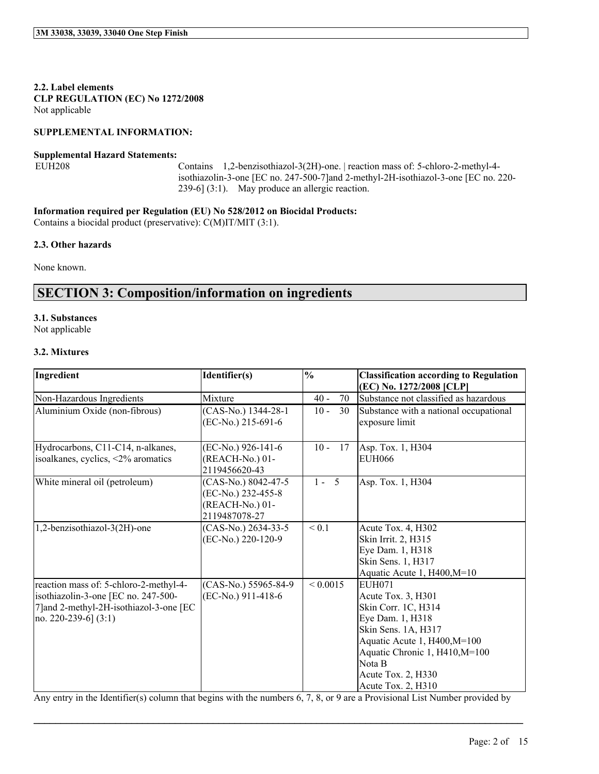**2.2. Label elements CLP REGULATION (EC) No 1272/2008** Not applicable

#### **SUPPLEMENTAL INFORMATION:**

#### **Supplemental Hazard Statements:**

EUH208 Contains 1,2-benzisothiazol-3(2H)-one. | reaction mass of: 5-chloro-2-methyl-4 isothiazolin-3-one [EC no. 247-500-7]and 2-methyl-2H-isothiazol-3-one [EC no. 220- 239-6] (3:1). May produce an allergic reaction.

**Information required per Regulation (EU) No 528/2012 on Biocidal Products:**

Contains a biocidal product (preservative): C(M)IT/MIT (3:1).

#### **2.3. Other hazards**

None known.

### **SECTION 3: Composition/information on ingredients**

#### **3.1. Substances**

Not applicable

#### **3.2. Mixtures**

| Ingredient                                                                                                                                         | Identifier(s)                                                                 | $\overline{\frac{0}{0}}$ | <b>Classification according to Regulation</b><br>(EC) No. 1272/2008 [CLP]                                                                                                                                                     |
|----------------------------------------------------------------------------------------------------------------------------------------------------|-------------------------------------------------------------------------------|--------------------------|-------------------------------------------------------------------------------------------------------------------------------------------------------------------------------------------------------------------------------|
| Non-Hazardous Ingredients                                                                                                                          | Mixture                                                                       | 70<br>$40 -$             | Substance not classified as hazardous                                                                                                                                                                                         |
| Aluminium Oxide (non-fibrous)                                                                                                                      | (CAS-No.) 1344-28-1<br>(EC-No.) 215-691-6                                     | $10 -$<br>30             | Substance with a national occupational<br>exposure limit                                                                                                                                                                      |
| Hydrocarbons, C11-C14, n-alkanes,<br>isoalkanes, cyclics, <2% aromatics                                                                            | (EC-No.) 926-141-6<br>(REACH-No.) 01-<br>2119456620-43                        | $10 -$<br>17             | Asp. Tox. 1, H304<br>EUH066                                                                                                                                                                                                   |
| White mineral oil (petroleum)                                                                                                                      | (CAS-No.) 8042-47-5<br>(EC-No.) 232-455-8<br>(REACH-No.) 01-<br>2119487078-27 | $1 - 5$                  | Asp. Tox. 1, H304                                                                                                                                                                                                             |
| 1,2-benzisothiazol-3(2H)-one                                                                                                                       | (CAS-No.) 2634-33-5<br>(EC-No.) 220-120-9                                     | ${}_{0.1}$               | Acute Tox. 4, H302<br>Skin Irrit. 2, H315<br>Eye Dam. 1, H318<br>Skin Sens. 1, H317<br>Aquatic Acute 1, H400, M=10                                                                                                            |
| reaction mass of: 5-chloro-2-methyl-4-<br>isothiazolin-3-one [EC no. 247-500-<br>7] and 2-methyl-2H-isothiazol-3-one [EC<br>no. 220-239-6] $(3:1)$ | (CAS-No.) 55965-84-9<br>(EC-No.) 911-418-6                                    | ${}< 0.0015$             | <b>EUH071</b><br>Acute Tox. 3, H301<br>Skin Corr. 1C, H314<br>Eye Dam. 1, H318<br>Skin Sens. 1A, H317<br>Aquatic Acute 1, H400, M=100<br>Aquatic Chronic 1, H410, M=100<br>Nota B<br>Acute Tox. 2, H330<br>Acute Tox. 2, H310 |

Any entry in the Identifier(s) column that begins with the numbers 6, 7, 8, or 9 are a Provisional List Number provided by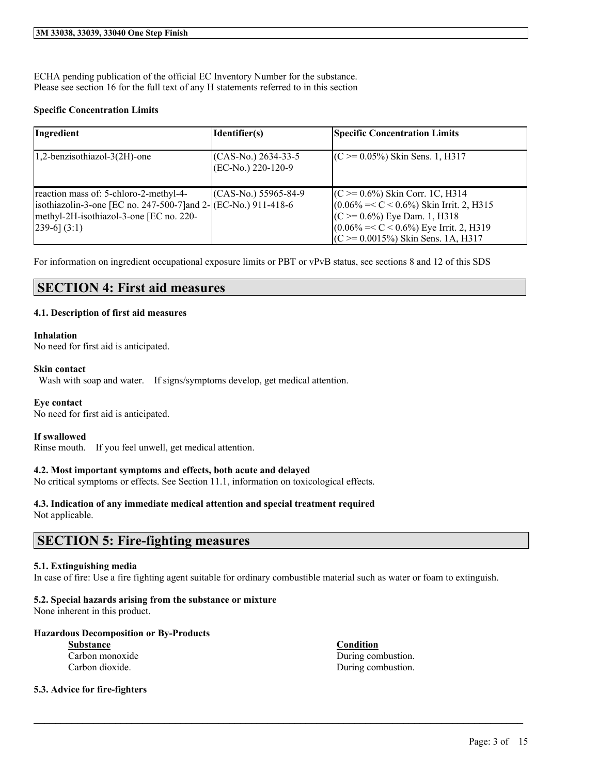ECHA pending publication of the official EC Inventory Number for the substance. Please see section 16 for the full text of any H statements referred to in this section

#### **Specific Concentration Limits**

| Ingredient                                                                                                                                                                | Identifier(s)                                  | <b>Specific Concentration Limits</b>                                                                                                                                                                             |
|---------------------------------------------------------------------------------------------------------------------------------------------------------------------------|------------------------------------------------|------------------------------------------------------------------------------------------------------------------------------------------------------------------------------------------------------------------|
| 1,2-benzisothiazol-3(2H)-one                                                                                                                                              | $(CAS-N0)$ 2634-33-5<br>$ (EC-N0, 220-120-9) $ | $(C \ge 0.05\%)$ Skin Sens. 1, H317                                                                                                                                                                              |
| reaction mass of: 5-chloro-2-methyl-4-<br>isothiazolin-3-one [EC no. 247-500-7] and $2-$ (EC-No.) 911-418-6<br>methyl-2H-isothiazol-3-one [EC no. 220-<br>$[239-6] (3:1)$ | $(CAS-N0)$ 55965-84-9                          | $(C \ge 0.6\%)$ Skin Corr. 1C, H314<br>$(0.06\% = < C < 0.6\%)$ Skin Irrit. 2, H315<br>$(C \ge 0.6\%)$ Eye Dam. 1, H318<br>$(0.06\% = < C < 0.6\%)$ Eye Irrit. 2, H319<br>$(C \ge 0.0015\%)$ Skin Sens. 1A, H317 |

For information on ingredient occupational exposure limits or PBT or vPvB status, see sections 8 and 12 of this SDS

### **SECTION 4: First aid measures**

#### **4.1. Description of first aid measures**

#### **Inhalation**

No need for first aid is anticipated.

#### **Skin contact**

Wash with soap and water. If signs/symptoms develop, get medical attention.

#### **Eye contact**

No need for first aid is anticipated.

#### **If swallowed**

Rinse mouth. If you feel unwell, get medical attention.

#### **4.2. Most important symptoms and effects, both acute and delayed**

No critical symptoms or effects. See Section 11.1, information on toxicological effects.

#### **4.3. Indication of any immediate medical attention and special treatment required** Not applicable.

### **SECTION 5: Fire-fighting measures**

#### **5.1. Extinguishing media**

In case of fire: Use a fire fighting agent suitable for ordinary combustible material such as water or foam to extinguish.

 $\mathcal{L}_\mathcal{L} = \mathcal{L}_\mathcal{L} = \mathcal{L}_\mathcal{L} = \mathcal{L}_\mathcal{L} = \mathcal{L}_\mathcal{L} = \mathcal{L}_\mathcal{L} = \mathcal{L}_\mathcal{L} = \mathcal{L}_\mathcal{L} = \mathcal{L}_\mathcal{L} = \mathcal{L}_\mathcal{L} = \mathcal{L}_\mathcal{L} = \mathcal{L}_\mathcal{L} = \mathcal{L}_\mathcal{L} = \mathcal{L}_\mathcal{L} = \mathcal{L}_\mathcal{L} = \mathcal{L}_\mathcal{L} = \mathcal{L}_\mathcal{L}$ 

#### **5.2. Special hazards arising from the substance or mixture**

None inherent in this product.

#### **Hazardous Decomposition or By-Products**

**Substance Condition**

#### **5.3. Advice for fire-fighters**

Carbon monoxide During combustion. Carbon dioxide. During combustion.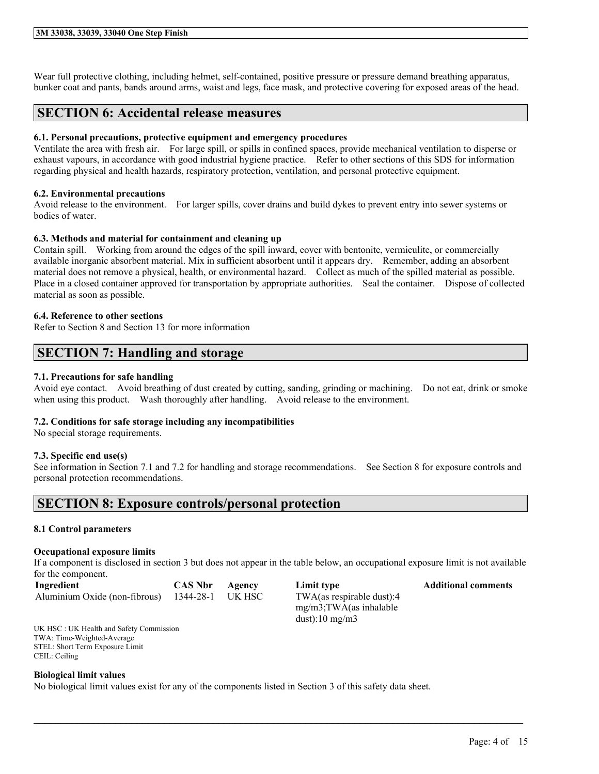#### **3M 33038, 33039, 33040 One Step Finish**

Wear full protective clothing, including helmet, self-contained, positive pressure or pressure demand breathing apparatus, bunker coat and pants, bands around arms, waist and legs, face mask, and protective covering for exposed areas of the head.

### **SECTION 6: Accidental release measures**

#### **6.1. Personal precautions, protective equipment and emergency procedures**

Ventilate the area with fresh air. For large spill, or spills in confined spaces, provide mechanical ventilation to disperse or exhaust vapours, in accordance with good industrial hygiene practice. Refer to other sections of this SDS for information regarding physical and health hazards, respiratory protection, ventilation, and personal protective equipment.

#### **6.2. Environmental precautions**

Avoid release to the environment. For larger spills, cover drains and build dykes to prevent entry into sewer systems or bodies of water.

#### **6.3. Methods and material for containment and cleaning up**

Contain spill. Working from around the edges of the spill inward, cover with bentonite, vermiculite, or commercially available inorganic absorbent material. Mix in sufficient absorbent until it appears dry. Remember, adding an absorbent material does not remove a physical, health, or environmental hazard. Collect as much of the spilled material as possible. Place in a closed container approved for transportation by appropriate authorities. Seal the container. Dispose of collected material as soon as possible.

#### **6.4. Reference to other sections**

Refer to Section 8 and Section 13 for more information

### **SECTION 7: Handling and storage**

#### **7.1. Precautions for safe handling**

Avoid eye contact. Avoid breathing of dust created by cutting, sanding, grinding or machining. Do not eat, drink or smoke when using this product. Wash thoroughly after handling. Avoid release to the environment.

#### **7.2. Conditions for safe storage including any incompatibilities**

No special storage requirements.

#### **7.3. Specific end use(s)**

See information in Section 7.1 and 7.2 for handling and storage recommendations. See Section 8 for exposure controls and personal protection recommendations.

### **SECTION 8: Exposure controls/personal protection**

#### **8.1 Control parameters**

#### **Occupational exposure limits**

If a component is disclosed in section 3 but does not appear in the table below, an occupational exposure limit is not available for the component.

 $\mathcal{L}_\mathcal{L} = \mathcal{L}_\mathcal{L} = \mathcal{L}_\mathcal{L} = \mathcal{L}_\mathcal{L} = \mathcal{L}_\mathcal{L} = \mathcal{L}_\mathcal{L} = \mathcal{L}_\mathcal{L} = \mathcal{L}_\mathcal{L} = \mathcal{L}_\mathcal{L} = \mathcal{L}_\mathcal{L} = \mathcal{L}_\mathcal{L} = \mathcal{L}_\mathcal{L} = \mathcal{L}_\mathcal{L} = \mathcal{L}_\mathcal{L} = \mathcal{L}_\mathcal{L} = \mathcal{L}_\mathcal{L} = \mathcal{L}_\mathcal{L}$ 

| Ingredient                    | <b>CAS Nbr</b> | Agency |
|-------------------------------|----------------|--------|
| Aluminium Oxide (non-fibrous) | 1344-28-1      | UK HSC |

TWA(as respirable dust):4 mg/m3;TWA(as inhalable dust):10 mg/m3

**Industrial Comments CAS Additional comments** 

UK HSC : UK Health and Safety Commission TWA: Time-Weighted-Average STEL: Short Term Exposure Limit CEIL: Ceiling

#### **Biological limit values**

No biological limit values exist for any of the components listed in Section 3 of this safety data sheet.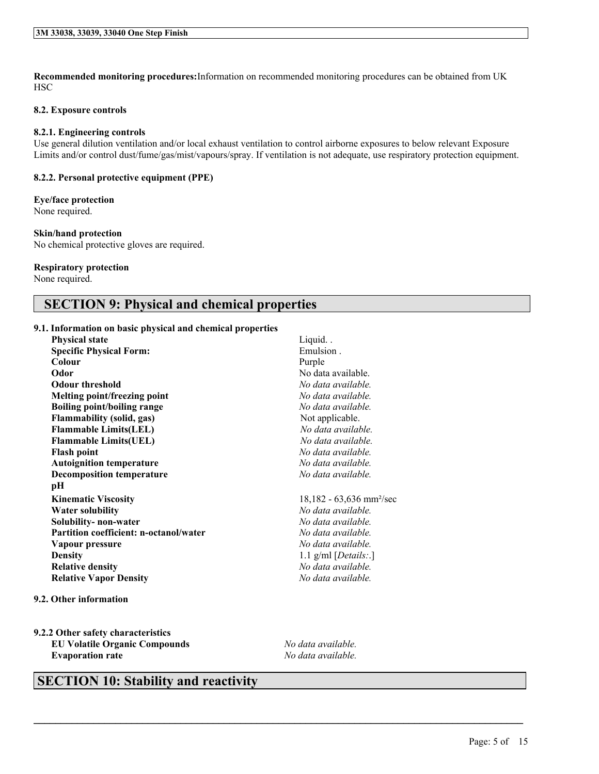**Recommended monitoring procedures:**Information on recommended monitoring procedures can be obtained from UK **HSC** 

#### **8.2. Exposure controls**

#### **8.2.1. Engineering controls**

Use general dilution ventilation and/or local exhaust ventilation to control airborne exposures to below relevant Exposure Limits and/or control dust/fume/gas/mist/vapours/spray. If ventilation is not adequate, use respiratory protection equipment.

#### **8.2.2. Personal protective equipment (PPE)**

#### **Eye/face protection**

None required.

#### **Skin/hand protection**

No chemical protective gloves are required.

#### **Respiratory protection**

None required.

### **SECTION 9: Physical and chemical properties**

#### **9.1. Information on basic physical and chemical properties**

| <b>Physical state</b>                         | Liquid                                 |
|-----------------------------------------------|----------------------------------------|
| <b>Specific Physical Form:</b>                | Emulsion.                              |
| Colour                                        | Purple                                 |
| Odor                                          | No data available.                     |
| <b>Odour threshold</b>                        | No data available.                     |
| Melting point/freezing point                  | No data available.                     |
| Boiling point/boiling range                   | No data available.                     |
| <b>Flammability (solid, gas)</b>              | Not applicable.                        |
| <b>Flammable Limits(LEL)</b>                  | No data available.                     |
| <b>Flammable Limits(UEL)</b>                  | No data available.                     |
| <b>Flash point</b>                            | No data available.                     |
| <b>Autoignition temperature</b>               | No data available.                     |
| <b>Decomposition temperature</b>              | No data available.                     |
| pН                                            |                                        |
| <b>Kinematic Viscosity</b>                    | $18,182 - 63,636$ mm <sup>2</sup> /sec |
| <b>Water solubility</b>                       | No data available.                     |
| Solubility- non-water                         | No data available.                     |
| <b>Partition coefficient: n-octanol/water</b> | No data available.                     |
| Vapour pressure                               | No data available.                     |
| <b>Density</b>                                | 1.1 g/ml $[Details.]$                  |
| <b>Relative density</b>                       | No data available.                     |
| <b>Relative Vapor Density</b>                 | No data available.                     |
| 9.2. Other information                        |                                        |

**9.2.2 Other safety characteristics EU Volatile Organic Compounds** *No data available.* **Evaporation rate** *No data available.*

 $\mathcal{L}_\mathcal{L} = \mathcal{L}_\mathcal{L} = \mathcal{L}_\mathcal{L} = \mathcal{L}_\mathcal{L} = \mathcal{L}_\mathcal{L} = \mathcal{L}_\mathcal{L} = \mathcal{L}_\mathcal{L} = \mathcal{L}_\mathcal{L} = \mathcal{L}_\mathcal{L} = \mathcal{L}_\mathcal{L} = \mathcal{L}_\mathcal{L} = \mathcal{L}_\mathcal{L} = \mathcal{L}_\mathcal{L} = \mathcal{L}_\mathcal{L} = \mathcal{L}_\mathcal{L} = \mathcal{L}_\mathcal{L} = \mathcal{L}_\mathcal{L}$ 

### **SECTION 10: Stability and reactivity**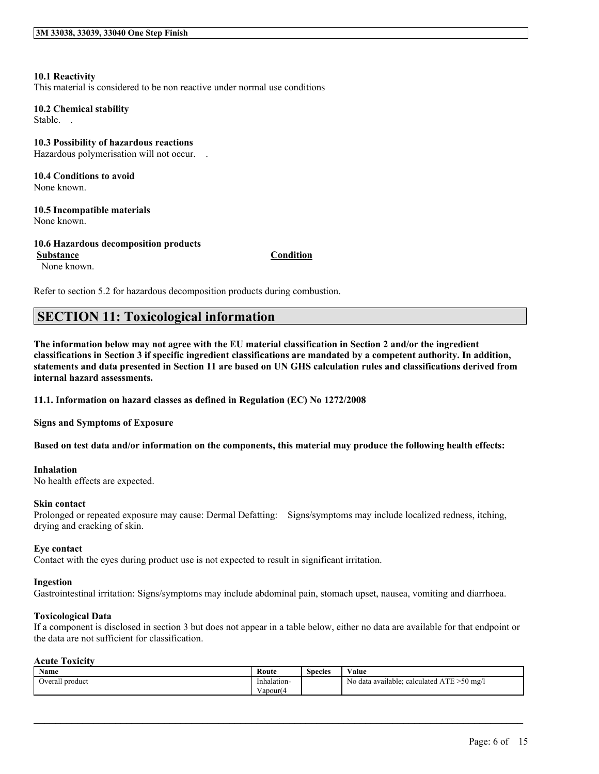#### **10.1 Reactivity** This material is considered to be non reactive under normal use conditions

**10.2 Chemical stability** Stable. .

**10.3 Possibility of hazardous reactions** Hazardous polymerisation will not occur. .

**10.4 Conditions to avoid** None known.

**10.5 Incompatible materials** None known.

**10.6 Hazardous decomposition products Substance Condition**

None known.

Refer to section 5.2 for hazardous decomposition products during combustion.

## **SECTION 11: Toxicological information**

The information below may not agree with the EU material classification in Section 2 and/or the ingredient classifications in Section 3 if specific ingredient classifications are mandated by a competent authority. In addition, statements and data presented in Section 11 are based on UN GHS calculation rules and classifications derived from **internal hazard assessments.**

**11.1. Information on hazard classes as defined in Regulation (EC) No 1272/2008**

**Signs and Symptoms of Exposure**

Based on test data and/or information on the components, this material may produce the following health effects:

#### **Inhalation**

No health effects are expected.

#### **Skin contact**

Prolonged or repeated exposure may cause: Dermal Defatting: Signs/symptoms may include localized redness, itching, drying and cracking of skin.

#### **Eye contact**

Contact with the eyes during product use is not expected to result in significant irritation.

#### **Ingestion**

Gastrointestinal irritation: Signs/symptoms may include abdominal pain, stomach upset, nausea, vomiting and diarrhoea.

#### **Toxicological Data**

If a component is disclosed in section 3 but does not appear in a table below, either no data are available for that endpoint or the data are not sufficient for classification.

#### **Acute Toxicity**

| <b>Name</b>              | Route       | <b>Species</b> | $\mathbf{v}$<br>√alue                                           |
|--------------------------|-------------|----------------|-----------------------------------------------------------------|
| . product<br>Overall<br> | Inhalation- |                | 50ء<br>l mg∕<br>calculated<br>N0<br>data available <sup>.</sup> |
|                          | apour(4     |                |                                                                 |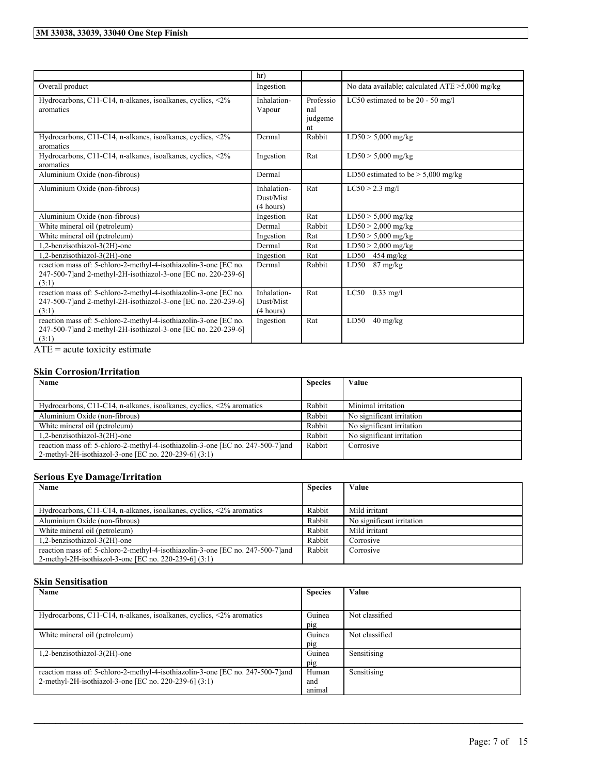|                                                                                                                                                                                       | hr)                                   |                                   |                                                        |
|---------------------------------------------------------------------------------------------------------------------------------------------------------------------------------------|---------------------------------------|-----------------------------------|--------------------------------------------------------|
| Overall product                                                                                                                                                                       | Ingestion                             |                                   | No data available; calculated $ATE > 5,000$ mg/kg      |
| Hydrocarbons, C11-C14, n-alkanes, isoalkanes, cyclics, <2%<br>aromatics                                                                                                               | Inhalation-<br>Vapour                 | Professio<br>nal<br>judgeme<br>nt | LC50 estimated to be 20 - 50 mg/l                      |
| Hydrocarbons, C11-C14, n-alkanes, isoalkanes, cyclics, <2%<br>aromatics                                                                                                               | Dermal                                | Rabbit                            | $LD50 > 5,000$ mg/kg                                   |
| Hydrocarbons, C11-C14, n-alkanes, isoalkanes, cyclics, <2%<br>aromatics                                                                                                               | Ingestion                             | Rat                               | $LD50 > 5,000$ mg/kg                                   |
| Aluminium Oxide (non-fibrous)                                                                                                                                                         | Dermal                                |                                   | $\overline{\text{LD50}}$ estimated to be > 5,000 mg/kg |
| Aluminium Oxide (non-fibrous)                                                                                                                                                         | Inhalation-<br>Dust/Mist<br>(4 hours) | Rat                               | $LC50 > 2.3$ mg/l                                      |
| Aluminium Oxide (non-fibrous)                                                                                                                                                         | Ingestion                             | Rat                               | $LD50 > 5,000$ mg/kg                                   |
| White mineral oil (petroleum)                                                                                                                                                         | Dermal                                | Rabbit                            | $LD50 > 2,000$ mg/kg                                   |
| White mineral oil (petroleum)                                                                                                                                                         | Ingestion                             | Rat                               | $LD50 > 5.000$ mg/kg                                   |
| 1,2-benzisothiazol-3(2H)-one                                                                                                                                                          | Dermal                                | Rat                               | $LD50 > 2,000$ mg/kg                                   |
| 1,2-benzisothiazol-3(2H)-one                                                                                                                                                          | Ingestion                             | Rat                               | LD50<br>$454 \text{ mg/kg}$                            |
| reaction mass of: 5-chloro-2-methyl-4-isothiazolin-3-one [EC no.<br>247-500-7] and 2-methyl-2H-isothiazol-3-one [EC no. 220-239-6]<br>(3:1)                                           | Dermal                                | Rabbit                            | 87 mg/kg<br>LD50                                       |
| reaction mass of: 5-chloro-2-methyl-4-isothiazolin-3-one [EC no.<br>247-500-7]and 2-methyl-2H-isothiazol-3-one [EC no. 220-239-6]<br>(3:1)                                            | Inhalation-<br>Dust/Mist<br>(4 hours) | Rat                               | $0.33$ mg/l<br>LC50                                    |
| reaction mass of: 5-chloro-2-methyl-4-isothiazolin-3-one [EC no.<br>247-500-7] and 2-methyl-2H-isothiazol-3-one [EC no. 220-239-6]<br>(3:1)<br>the company's company's com-<br>$\sim$ | Ingestion                             | Rat                               | LD50<br>$40 \text{ mg/kg}$                             |

 $\overline{ATE}$  = acute toxicity estimate

#### **Skin Corrosion/Irritation**

| Name                                                                           | <b>Species</b> | Value                     |
|--------------------------------------------------------------------------------|----------------|---------------------------|
|                                                                                |                |                           |
| Hydrocarbons, C11-C14, n-alkanes, isoalkanes, cyclics, $\langle 2\%$ aromatics | Rabbit         | Minimal irritation        |
| Aluminium Oxide (non-fibrous)                                                  | Rabbit         | No significant irritation |
| White mineral oil (petroleum)                                                  | Rabbit         | No significant irritation |
| 1.2-benzisothiazol-3(2H)-one                                                   | Rabbit         | No significant irritation |
| reaction mass of: 5-chloro-2-methyl-4-isothiazolin-3-one [EC no. 247-500-7]and | Rabbit         | Corrosive                 |
| 2-methyl-2H-isothiazol-3-one [EC no. 220-239-6] (3:1)                          |                |                           |

#### **Serious Eye Damage/Irritation**

| Name                                                                                                                                     | <b>Species</b> | Value                     |
|------------------------------------------------------------------------------------------------------------------------------------------|----------------|---------------------------|
|                                                                                                                                          |                |                           |
| Hydrocarbons, C11-C14, n-alkanes, isoalkanes, cyclics, $\leq 2\%$ aromatics                                                              | Rabbit         | Mild irritant             |
| Aluminium Oxide (non-fibrous)                                                                                                            | Rabbit         | No significant irritation |
| White mineral oil (petroleum)                                                                                                            | Rabbit         | Mild irritant             |
| 1,2-benzisothiazol-3(2H)-one                                                                                                             | Rabbit         | Corrosive                 |
| reaction mass of: 5-chloro-2-methyl-4-isothiazolin-3-one [EC no. 247-500-7] and<br>2-methyl-2H-isothiazol-3-one [EC no. 220-239-6] (3:1) | Rabbit         | Corrosive                 |

#### **Skin Sensitisation**

| Name                                                                            | <b>Species</b> | Value          |
|---------------------------------------------------------------------------------|----------------|----------------|
|                                                                                 |                |                |
| Hydrocarbons, C11-C14, n-alkanes, isoalkanes, cyclics, $\langle 2\%$ aromatics  | Guinea         | Not classified |
|                                                                                 | pig            |                |
| White mineral oil (petroleum)                                                   | Guinea         | Not classified |
|                                                                                 | pig            |                |
| 1,2-benzisothiazol-3(2H)-one                                                    | Guinea         | Sensitising    |
|                                                                                 | pig            |                |
| reaction mass of: 5-chloro-2-methyl-4-isothiazolin-3-one [EC no. 247-500-7] and | Human          | Sensitising    |
| 2-methyl-2H-isothiazol-3-one [EC no. 220-239-6] (3:1)                           | and            |                |
|                                                                                 | animal         |                |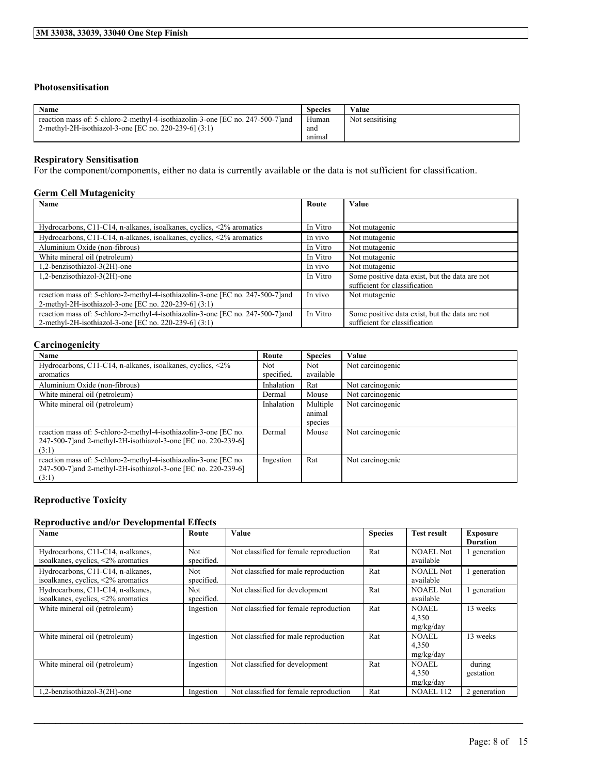### **Photosensitisation**

| Name                                                                            | <b>Species</b> | Value           |
|---------------------------------------------------------------------------------|----------------|-----------------|
| reaction mass of: 5-chloro-2-methyl-4-isothiazolin-3-one [EC no. 247-500-7] and | Human          | Not sensitising |
| 2-methyl-2H-isothiazol-3-one [EC no. 220-239-6] (3:1)                           | and            |                 |
|                                                                                 | anımal         |                 |

#### **Respiratory Sensitisation**

For the component/components, either no data is currently available or the data is not sufficient for classification.

#### **Germ Cell Mutagenicity**

| <b>Name</b>                                                                     | Route    | <b>Value</b>                                   |
|---------------------------------------------------------------------------------|----------|------------------------------------------------|
|                                                                                 |          |                                                |
| Hydrocarbons, C11-C14, n-alkanes, isoalkanes, cyclics, $\langle 2\%$ aromatics  | In Vitro | Not mutagenic                                  |
| Hydrocarbons, C11-C14, n-alkanes, isoalkanes, cyclics, <2% aromatics            | In vivo  | Not mutagenic                                  |
| Aluminium Oxide (non-fibrous)                                                   | In Vitro | Not mutagenic                                  |
| White mineral oil (petroleum)                                                   | In Vitro | Not mutagenic                                  |
| 1,2-benzisothiazol-3(2H)-one                                                    | In vivo  | Not mutagenic                                  |
| 1,2-benzisothiazol-3(2H)-one                                                    | In Vitro | Some positive data exist, but the data are not |
|                                                                                 |          | sufficient for classification                  |
| reaction mass of: 5-chloro-2-methyl-4-isothiazolin-3-one [EC no. 247-500-7] and | In vivo  | Not mutagenic                                  |
| 2-methyl-2H-isothiazol-3-one [EC no. 220-239-6] (3:1)                           |          |                                                |
| reaction mass of: 5-chloro-2-methyl-4-isothiazolin-3-one [EC no. 247-500-7] and | In Vitro | Some positive data exist, but the data are not |
| 2-methyl-2H-isothiazol-3-one [EC no. 220-239-6] (3:1)                           |          | sufficient for classification                  |

#### **Carcinogenicity**

| Name                                                                         | Route      | <b>Species</b> | Value            |
|------------------------------------------------------------------------------|------------|----------------|------------------|
| Hydrocarbons, C11-C14, n-alkanes, isoalkanes, cyclics, $\langle 2\% \rangle$ | Not.       | Not            | Not carcinogenic |
| aromatics                                                                    | specified. | available      |                  |
| Aluminium Oxide (non-fibrous)                                                | Inhalation | Rat            | Not carcinogenic |
| White mineral oil (petroleum)                                                | Dermal     | Mouse          | Not carcinogenic |
| White mineral oil (petroleum)                                                | Inhalation | Multiple       | Not carcinogenic |
|                                                                              |            | animal         |                  |
|                                                                              |            | species        |                  |
| reaction mass of: 5-chloro-2-methyl-4-isothiazolin-3-one [EC no.             | Dermal     | Mouse          | Not carcinogenic |
| 247-500-7] and 2-methyl-2H-isothiazol-3-one [EC no. 220-239-6]               |            |                |                  |
| (3:1)                                                                        |            |                |                  |
| reaction mass of: 5-chloro-2-methyl-4-isothiazolin-3-one [EC no.             | Ingestion  | Rat            | Not carcinogenic |
| 247-500-7] and 2-methyl-2H-isothiazol-3-one [EC no. 220-239-6]               |            |                |                  |
| (3:1)                                                                        |            |                |                  |

#### **Reproductive Toxicity**

#### **Reproductive and/or Developmental Effects**

| Name                                                                              | Route                    | Value                                  | <b>Species</b> | <b>Test result</b>            | <b>Exposure</b><br><b>Duration</b> |
|-----------------------------------------------------------------------------------|--------------------------|----------------------------------------|----------------|-------------------------------|------------------------------------|
| Hydrocarbons, C11-C14, n-alkanes,<br>isoalkanes, cyclics, $\langle 2\%$ aromatics | <b>Not</b><br>specified. | Not classified for female reproduction | Rat            | NOAEL Not<br>available        | generation                         |
| Hydrocarbons, C11-C14, n-alkanes,<br>isoalkanes, cyclics, <2% aromatics           | Not.<br>specified.       | Not classified for male reproduction   | Rat            | <b>NOAEL Not</b><br>available | generation                         |
| Hydrocarbons, C11-C14, n-alkanes,<br>isoalkanes, cyclics, <2% aromatics           | <b>Not</b><br>specified. | Not classified for development         | Rat            | <b>NOAEL Not</b><br>available | generation                         |
| White mineral oil (petroleum)                                                     | Ingestion                | Not classified for female reproduction | Rat            | NOAEL.<br>4,350<br>mg/kg/day  | 13 weeks                           |
| White mineral oil (petroleum)                                                     | Ingestion                | Not classified for male reproduction   | Rat            | NOAEL.<br>4,350<br>mg/kg/day  | 13 weeks                           |
| White mineral oil (petroleum)                                                     | Ingestion                | Not classified for development         | Rat            | NOAEL.<br>4,350<br>mg/kg/day  | during<br>gestation                |
| 1,2-benzisothiazol-3(2H)-one                                                      | Ingestion                | Not classified for female reproduction | Rat            | <b>NOAEL 112</b>              | 2 generation                       |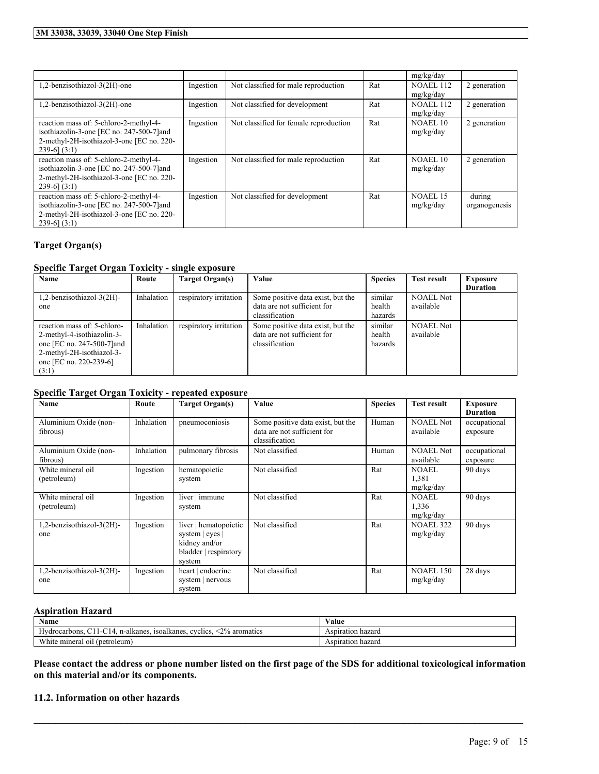|                                                                                        |           |                                        |     | mg/kg/day             |               |
|----------------------------------------------------------------------------------------|-----------|----------------------------------------|-----|-----------------------|---------------|
| 1,2-benzisothiazol-3(2H)-one                                                           | Ingestion | Not classified for male reproduction   | Rat | <b>NOAEL 112</b>      | 2 generation  |
|                                                                                        |           |                                        |     | mg/kg/day             |               |
| 1,2-benzisothiazol-3(2H)-one                                                           | Ingestion | Not classified for development         | Rat | <b>NOAEL 112</b>      | 2 generation  |
|                                                                                        |           |                                        |     | mg/kg/day             |               |
| reaction mass of: 5-chloro-2-methyl-4-<br>isothiazolin-3-one [EC no. 247-500-7] and    | Ingestion | Not classified for female reproduction | Rat | NOAEL 10<br>mg/kg/day | 2 generation  |
| 2-methyl-2H-isothiazol-3-one [EC no. 220-                                              |           |                                        |     |                       |               |
| $239-6$ ] $(3:1)$                                                                      |           |                                        |     |                       |               |
| reaction mass of: 5-chloro-2-methyl-4-                                                 | Ingestion | Not classified for male reproduction   | Rat | NOAEL 10              | 2 generation  |
| isothiazolin-3-one [EC no. 247-500-7] and<br>2-methyl-2H-isothiazol-3-one [EC no. 220- |           |                                        |     | mg/kg/day             |               |
| $239-6$ ] $(3:1)$                                                                      |           |                                        |     |                       |               |
| reaction mass of: 5-chloro-2-methyl-4-                                                 | Ingestion | Not classified for development         | Rat | NOAEL 15              | during        |
| isothiazolin-3-one [EC no. 247-500-7] and                                              |           |                                        |     | mg/kg/day             | organogenesis |
| 2-methyl-2H-isothiazol-3-one [EC no. 220-                                              |           |                                        |     |                       |               |
| $239-6$ ] $(3:1)$                                                                      |           |                                        |     |                       |               |

#### **Target Organ(s)**

#### **Specific Target Organ Toxicity - single exposure**

| Name                        | Route      | Target Organ(s)        | Value                             | <b>Species</b> | <b>Test result</b> | <b>Exposure</b> |
|-----------------------------|------------|------------------------|-----------------------------------|----------------|--------------------|-----------------|
|                             |            |                        |                                   |                |                    | <b>Duration</b> |
| 1,2-benzisothiazol-3(2H)-   | Inhalation | respiratory irritation | Some positive data exist, but the | similar        | <b>NOAEL Not</b>   |                 |
| one                         |            |                        | data are not sufficient for       | health         | available          |                 |
|                             |            |                        | classification                    | hazards        |                    |                 |
| reaction mass of: 5-chloro- | Inhalation | respiratory irritation | Some positive data exist, but the | similar        | <b>NOAEL Not</b>   |                 |
| 2-methyl-4-isothiazolin-3-  |            |                        | data are not sufficient for       | health         | available          |                 |
| one [EC no. 247-500-7] and  |            |                        | classification                    | hazards        |                    |                 |
| 2-methyl-2H-isothiazol-3-   |            |                        |                                   |                |                    |                 |
| one [EC no. 220-239-6]      |            |                        |                                   |                |                    |                 |
| (3:1)                       |            |                        |                                   |                |                    |                 |

#### **Specific Target Organ Toxicity - repeated exposure**

| Name                              | Route      | <b>Target Organ(s)</b>                                                                       | Value                                                                              | <b>Species</b> | <b>Test result</b>                 | <b>Exposure</b><br><b>Duration</b> |
|-----------------------------------|------------|----------------------------------------------------------------------------------------------|------------------------------------------------------------------------------------|----------------|------------------------------------|------------------------------------|
| Aluminium Oxide (non-<br>fibrous) | Inhalation | pneumoconiosis                                                                               | Some positive data exist, but the<br>data are not sufficient for<br>classification | Human          | <b>NOAEL Not</b><br>available      | occupational<br>exposure           |
| Aluminium Oxide (non-<br>fibrous) | Inhalation | pulmonary fibrosis                                                                           | Not classified                                                                     | Human          | <b>NOAEL Not</b><br>available      | occupational<br>exposure           |
| White mineral oil<br>(petroleum)  | Ingestion  | hematopoietic<br>system                                                                      | Not classified                                                                     | Rat            | <b>NOAEL</b><br>1,381<br>mg/kg/day | 90 days                            |
| White mineral oil<br>(petroleum)  | Ingestion  | liver $\vert$ immune<br>system                                                               | Not classified                                                                     | Rat            | <b>NOAEL</b><br>1,336<br>mg/kg/day | 90 days                            |
| 1,2-benzisothiazol-3(2H)-<br>one  | Ingestion  | liver   hematopoietic<br>system $ $ eyes<br>kidney and/or<br>bladder   respiratory<br>system | Not classified                                                                     | Rat            | <b>NOAEL 322</b><br>mg/kg/day      | 90 days                            |
| 1,2-benzisothiazol-3(2H)-<br>one  | Ingestion  | heart   endocrine<br>system   nervous<br>system                                              | Not classified                                                                     | Rat            | <b>NOAEL 150</b><br>mg/kg/day      | 28 days                            |

#### **Aspiration Hazard**

| $\rightarrow$ $\rightarrow$<br>Name                                                       | ⁄ alue               |
|-------------------------------------------------------------------------------------------|----------------------|
| $2\%$<br>aromatics<br>isoalkanes.<br>Hydrocarbons.<br>evelies.<br>n-alkanes<br>$\epsilon$ | hazard<br>Aspiration |
| <b>WWW.</b><br>(petroleum)<br>mineral<br>01l<br>'hite                                     | Aspiration<br>hazard |

Please contact the address or phone number listed on the first page of the SDS for additional toxicological information **on this material and/or its components.**

 $\mathcal{L}_\mathcal{L} = \mathcal{L}_\mathcal{L} = \mathcal{L}_\mathcal{L} = \mathcal{L}_\mathcal{L} = \mathcal{L}_\mathcal{L} = \mathcal{L}_\mathcal{L} = \mathcal{L}_\mathcal{L} = \mathcal{L}_\mathcal{L} = \mathcal{L}_\mathcal{L} = \mathcal{L}_\mathcal{L} = \mathcal{L}_\mathcal{L} = \mathcal{L}_\mathcal{L} = \mathcal{L}_\mathcal{L} = \mathcal{L}_\mathcal{L} = \mathcal{L}_\mathcal{L} = \mathcal{L}_\mathcal{L} = \mathcal{L}_\mathcal{L}$ 

#### **11.2. Information on other hazards**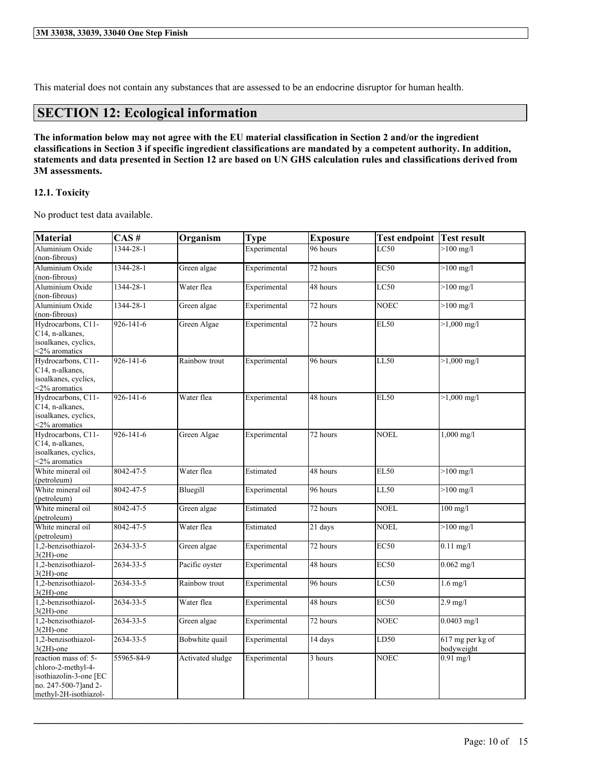This material does not contain any substances that are assessed to be an endocrine disruptor for human health.

### **SECTION 12: Ecological information**

The information below may not agree with the EU material classification in Section 2 and/or the ingredient classifications in Section 3 if specific ingredient classifications are mandated by a competent authority. In addition, statements and data presented in Section 12 are based on UN GHS calculation rules and classifications derived from **3M assessments.**

#### **12.1. Toxicity**

No product test data available.

| <b>Material</b>                     | CAS#            | Organism         | <b>Type</b>  | <b>Exposure</b> | <b>Test endpoint Test result</b> |                       |
|-------------------------------------|-----------------|------------------|--------------|-----------------|----------------------------------|-----------------------|
| Aluminium Oxide                     | 1344-28-1       |                  | Experimental | 96 hours        | LC50                             | $>100$ mg/l           |
| (non-fibrous)                       |                 |                  |              |                 |                                  |                       |
| Aluminium Oxide                     | 1344-28-1       | Green algae      | Experimental | 72 hours        | <b>EC50</b>                      | $>100$ mg/l           |
| (non-fibrous)                       |                 |                  |              |                 |                                  |                       |
| Aluminium Oxide                     | 1344-28-1       | Water flea       | Experimental | 48 hours        | LC50                             | $>100$ mg/l           |
| (non-fibrous)                       |                 |                  |              |                 |                                  |                       |
| Aluminium Oxide                     | 1344-28-1       | Green algae      | Experimental | 72 hours        | <b>NOEC</b>                      | $>100$ mg/l           |
| (non-fibrous)                       |                 |                  |              |                 |                                  |                       |
| Hydrocarbons, C11-                  | $926 - 141 - 6$ | Green Algae      | Experimental | 72 hours        | <b>EL50</b>                      | $>1,000 \text{ mg/l}$ |
| C14, n-alkanes,                     |                 |                  |              |                 |                                  |                       |
| isoalkanes, cyclics,                |                 |                  |              |                 |                                  |                       |
| <2% aromatics<br>Hydrocarbons, C11- | 926-141-6       | Rainbow trout    | Experimental | 96 hours        | <b>LL50</b>                      | $>1,000$ mg/l         |
| C14, n-alkanes,                     |                 |                  |              |                 |                                  |                       |
| isoalkanes, cyclics,                |                 |                  |              |                 |                                  |                       |
| <2% aromatics                       |                 |                  |              |                 |                                  |                       |
| Hydrocarbons, C11-                  | 926-141-6       | Water flea       | Experimental | 48 hours        | <b>EL50</b>                      | $>1,000 \text{ mg/l}$ |
| C14, n-alkanes,                     |                 |                  |              |                 |                                  |                       |
| isoalkanes, cyclics,                |                 |                  |              |                 |                                  |                       |
| <2% aromatics                       |                 |                  |              |                 |                                  |                       |
| Hydrocarbons, C11-                  | 926-141-6       | Green Algae      | Experimental | 72 hours        | <b>NOEL</b>                      | $1,000$ mg/l          |
| C14, n-alkanes,                     |                 |                  |              |                 |                                  |                       |
| isoalkanes, cyclics,                |                 |                  |              |                 |                                  |                       |
| <2% aromatics                       |                 |                  |              |                 |                                  |                       |
| White mineral oil                   | 8042-47-5       | Water flea       | Estimated    | 48 hours        | <b>EL50</b>                      | $>100$ mg/l           |
| (petroleum)                         |                 |                  |              |                 |                                  |                       |
| White mineral oil                   | 8042-47-5       | Bluegill         | Experimental | 96 hours        | LL50                             | $>100$ mg/l           |
| (petroleum)                         |                 |                  |              |                 |                                  |                       |
| White mineral oil                   | 8042-47-5       | Green algae      | Estimated    | 72 hours        | <b>NOEL</b>                      | $100$ mg/l            |
| (petroleum)<br>White mineral oil    |                 |                  |              |                 |                                  |                       |
| (petroleum)                         | 8042-47-5       | Water flea       | Estimated    | 21 days         | <b>NOEL</b>                      | $>100$ mg/l           |
| 1,2-benzisothiazol-                 | 2634-33-5       | Green algae      | Experimental | 72 hours        | <b>EC50</b>                      | $0.11$ mg/l           |
| $3(2H)$ -one                        |                 |                  |              |                 |                                  |                       |
| 1,2-benzisothiazol-                 | 2634-33-5       | Pacific oyster   | Experimental | 48 hours        | <b>EC50</b>                      | $0.062$ mg/l          |
| $3(2H)$ -one                        |                 |                  |              |                 |                                  |                       |
| 1,2-benzisothiazol-                 | 2634-33-5       | Rainbow trout    | Experimental | 96 hours        | LC50                             | $1.6$ mg/l            |
| $3(2H)$ -one                        |                 |                  |              |                 |                                  |                       |
| 1,2-benzisothiazol-                 | 2634-33-5       | Water flea       | Experimental | 48 hours        | <b>EC50</b>                      | $2.9$ mg/l            |
| $3(2H)$ -one                        |                 |                  |              |                 |                                  |                       |
| 1,2-benzisothiazol-                 | 2634-33-5       | Green algae      | Experimental | 72 hours        | <b>NOEC</b>                      | $0.0403$ mg/l         |
| $3(2H)$ -one                        |                 |                  |              |                 |                                  |                       |
| 1,2-benzisothiazol-                 | $2634 - 33 - 5$ | Bobwhite quail   | Experimental | 14 days         | LD50                             | 617 mg per kg of      |
| $3(2H)$ -one                        |                 |                  |              |                 |                                  | bodyweight            |
| reaction mass of: 5-                | 55965-84-9      | Activated sludge | Experimental | 3 hours         | $\overline{\text{NOE}}$ C        | $0.91$ mg/l           |
| chloro-2-methyl-4-                  |                 |                  |              |                 |                                  |                       |
| isothiazolin-3-one [EC              |                 |                  |              |                 |                                  |                       |
| no. 247-500-7]and 2-                |                 |                  |              |                 |                                  |                       |
| methyl-2H-isothiazol-               |                 |                  |              |                 |                                  |                       |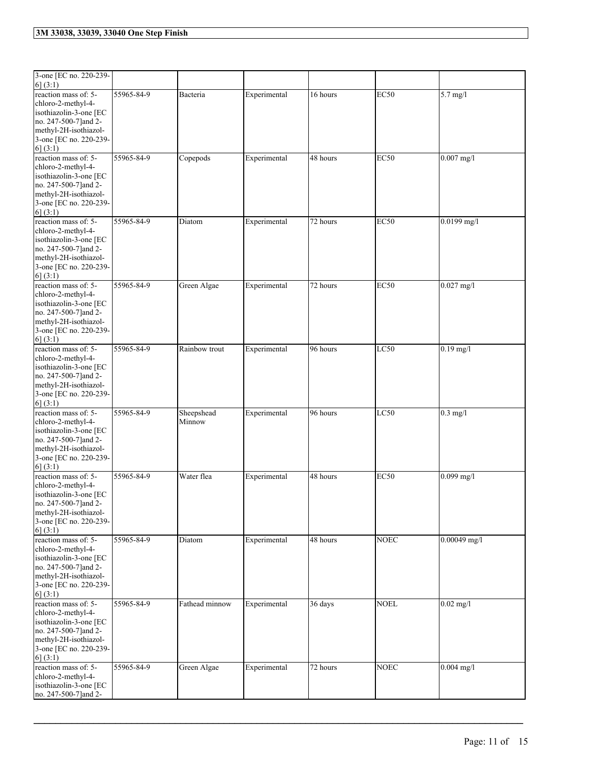| 3-one [EC no. 220-239-<br>6] (3:1)                                                                                                                           |            |                      |              |          |             |                |
|--------------------------------------------------------------------------------------------------------------------------------------------------------------|------------|----------------------|--------------|----------|-------------|----------------|
| reaction mass of: 5-<br>chloro-2-methyl-4-<br>isothiazolin-3-one [EC<br>no. 247-500-7] and 2-<br>methyl-2H-isothiazol-<br>3-one [EC no. 220-239-<br>6] (3:1) | 55965-84-9 | Bacteria             | Experimental | 16 hours | <b>EC50</b> | $5.7$ mg/l     |
| reaction mass of: 5-<br>chloro-2-methyl-4-<br>isothiazolin-3-one [EC<br>no. 247-500-7] and 2-<br>methyl-2H-isothiazol-<br>3-one [EC no. 220-239-<br>6] (3:1) | 55965-84-9 | Copepods             | Experimental | 48 hours | <b>EC50</b> | $0.007$ mg/l   |
| reaction mass of: 5-<br>chloro-2-methyl-4-<br>isothiazolin-3-one [EC<br>no. 247-500-7] and 2-<br>methyl-2H-isothiazol-<br>3-one [EC no. 220-239-<br>6] (3:1) | 55965-84-9 | Diatom               | Experimental | 72 hours | <b>EC50</b> | $0.0199$ mg/l  |
| reaction mass of: 5-<br>chloro-2-methyl-4-<br>isothiazolin-3-one [EC<br>no. 247-500-7] and 2-<br>methyl-2H-isothiazol-<br>3-one [EC no. 220-239-<br>6] (3:1) | 55965-84-9 | Green Algae          | Experimental | 72 hours | <b>EC50</b> | $0.027$ mg/l   |
| reaction mass of: 5-<br>chloro-2-methyl-4-<br>isothiazolin-3-one [EC<br>no. 247-500-7] and 2-<br>methyl-2H-isothiazol-<br>3-one [EC no. 220-239-<br>6(3:1)   | 55965-84-9 | Rainbow trout        | Experimental | 96 hours | LC50        | $0.19$ mg/l    |
| reaction mass of: 5-<br>chloro-2-methyl-4-<br>isothiazolin-3-one [EC<br>no. 247-500-7]and 2-<br>methyl-2H-isothiazol-<br>3-one [EC no. 220-239-<br>6] (3:1)  | 55965-84-9 | Sheepshead<br>Minnow | Experimental | 96 hours | LC50        | $0.3$ mg/l     |
| reaction mass of: 5-<br>chloro-2-methyl-4-<br>isothiazolin-3-one [EC<br>no. 247-500-7] and 2-<br>methyl-2H-isothiazol-<br>3-one [EC no. 220-239-<br>6(3:1)   | 55965-84-9 | Water flea           | Experimental | 48 hours | <b>EC50</b> | $0.099$ mg/l   |
| reaction mass of: 5-<br>chloro-2-methyl-4-<br>isothiazolin-3-one [EC<br>no. 247-500-7]and 2-<br>methyl-2H-isothiazol-<br>3-one [EC no. 220-239-<br>6] (3:1)  | 55965-84-9 | Diatom               | Experimental | 48 hours | <b>NOEC</b> | $0.00049$ mg/l |
| reaction mass of: 5-<br>chloro-2-methyl-4-<br>isothiazolin-3-one [EC<br>no. 247-500-7] and 2-<br>methyl-2H-isothiazol-<br>3-one [EC no. 220-239-<br>6] (3:1) | 55965-84-9 | Fathead minnow       | Experimental | 36 days  | <b>NOEL</b> | $0.02$ mg/l    |
| reaction mass of: 5-<br>chloro-2-methyl-4-<br>isothiazolin-3-one [EC<br>no. 247-500-7] and 2-                                                                | 55965-84-9 | Green Algae          | Experimental | 72 hours | <b>NOEC</b> | $0.004$ mg/l   |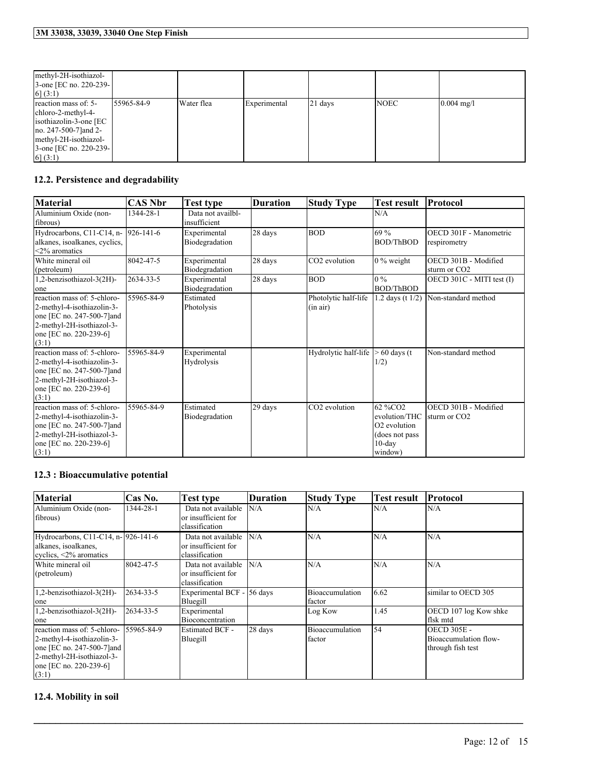| methyl-2H-isothiazol-<br>3-one [EC no. 220-239-]<br>[6] (3:1)                                                                                                 |            |            |              |         |             |                      |
|---------------------------------------------------------------------------------------------------------------------------------------------------------------|------------|------------|--------------|---------|-------------|----------------------|
| reaction mass of: 5-<br>chloro-2-methyl-4-<br>isothiazolin-3-one [EC<br>no. 247-500-7 and 2-<br>methyl-2H-isothiazol-<br>3-one [EC no. 220-239-]<br>[6] (3:1) | 55965-84-9 | Water flea | Experimental | 21 days | <b>NOEC</b> | $0.004 \text{ mg/l}$ |

### **12.2. Persistence and degradability**

| <b>Material</b>                                                                                                                                         | CAS Nbr         | <b>Test type</b>                  | <b>Duration</b> | <b>Study Type</b>                | <b>Test result</b>                                                                              | <b>Protocol</b>                                  |
|---------------------------------------------------------------------------------------------------------------------------------------------------------|-----------------|-----------------------------------|-----------------|----------------------------------|-------------------------------------------------------------------------------------------------|--------------------------------------------------|
| Aluminium Oxide (non-<br>fibrous)                                                                                                                       | 1344-28-1       | Data not availbl-<br>insufficient |                 |                                  | N/A                                                                                             |                                                  |
| Hydrocarbons, C11-C14, n-<br>alkanes, isoalkanes, cyclics,<br>$<$ 2% aromatics                                                                          | $926 - 141 - 6$ | Experimental<br>Biodegradation    | 28 days         | <b>BOD</b>                       | 69 %<br><b>BOD/ThBOD</b>                                                                        | OECD 301F - Manometric<br>respirometry           |
| White mineral oil<br>(petroleum)                                                                                                                        | 8042-47-5       | Experimental<br>Biodegradation    | 28 days         | CO <sub>2</sub> evolution        | $0\%$ weight                                                                                    | OECD 301B - Modified<br>sturm or CO <sub>2</sub> |
| 1,2-benzisothiazol-3(2H)-<br>one                                                                                                                        | 2634-33-5       | Experimental<br>Biodegradation    | 28 days         | <b>BOD</b>                       | $0\%$<br><b>BOD/ThBOD</b>                                                                       | OECD 301C - MITI test (I)                        |
| reaction mass of: 5-chloro-<br>2-methyl-4-isothiazolin-3-<br>one [EC no. 247-500-7] and<br>2-methyl-2H-isothiazol-3-<br>one [EC no. 220-239-6]<br>(3:1) | 55965-84-9      | Estimated<br>Photolysis           |                 | Photolytic half-life<br>(in air) | 1.2 days (t $1/2$ )                                                                             | Non-standard method                              |
| reaction mass of: 5-chloro-<br>2-methyl-4-isothiazolin-3-<br>one [EC no. 247-500-7] and<br>2-methyl-2H-isothiazol-3-<br>one [EC no. 220-239-6]<br>(3:1) | 55965-84-9      | Experimental<br>Hydrolysis        |                 | Hydrolytic half-life             | $> 60$ days (t)<br>1/2)                                                                         | Non-standard method                              |
| reaction mass of: 5-chloro-<br>2-methyl-4-isothiazolin-3-<br>one [EC no. 247-500-7] and<br>2-methyl-2H-isothiazol-3-<br>one [EC no. 220-239-6]<br>(3:1) | 55965-84-9      | Estimated<br>Biodegradation       | 29 days         | CO <sub>2</sub> evolution        | 62 %CO2<br>evolution/THC<br>O <sub>2</sub> evolution<br>(does not pass)<br>$10$ -day<br>window) | OECD 301B - Modified<br>Isturm or CO2            |

### **12.3 : Bioaccumulative potential**

| <b>Material</b>                                                                                                                                         | Cas No.     | <b>Test type</b>                                            | <b>Duration</b> | <b>Study Type</b>                | <b>Test result</b> | Protocol                                                         |
|---------------------------------------------------------------------------------------------------------------------------------------------------------|-------------|-------------------------------------------------------------|-----------------|----------------------------------|--------------------|------------------------------------------------------------------|
| Aluminium Oxide (non-<br>fibrous)                                                                                                                       | 1344-28-1   | Data not available<br>or insufficient for<br>classification | N/A             | N/A                              | N/A                | N/A                                                              |
| Hydrocarbons, C11-C14, n- 926-141-6<br>alkanes, isoalkanes,<br>evelies, $\leq 2\%$ aromatics                                                            |             | Data not available<br>or insufficient for<br>classification | N/A             | N/A                              | N/A                | N/A                                                              |
| White mineral oil<br>(petroleum)                                                                                                                        | 8042-47-5   | Data not available<br>or insufficient for<br>classification | N/A             | N/A                              | N/A                | N/A                                                              |
| 1,2-benzisothiazol-3(2H)-<br>one                                                                                                                        | 2634-33-5   | Experimental BCF - 56 days<br>Bluegill                      |                 | Bioaccumulation<br>factor        | 6.62               | similar to OECD 305                                              |
| 1,2-benzisothiazol-3(2H)-<br>one                                                                                                                        | 2634-33-5   | Experimental<br>Bioconcentration                            |                 | Log Kow                          | 1.45               | OECD 107 log Kow shke<br>flsk mtd                                |
| reaction mass of: 5-chloro-<br>2-methyl-4-isothiazolin-3-<br>one [EC no. 247-500-7] and<br>2-methyl-2H-isothiazol-3-<br>one [EC no. 220-239-6]<br>(3:1) | 155965-84-9 | <b>Estimated BCF -</b><br>Bluegill                          | 28 days         | <b>Bioaccumulation</b><br>factor | 54                 | <b>OECD 305E -</b><br>Bioaccumulation flow-<br>through fish test |

 $\mathcal{L}_\mathcal{L} = \mathcal{L}_\mathcal{L} = \mathcal{L}_\mathcal{L} = \mathcal{L}_\mathcal{L} = \mathcal{L}_\mathcal{L} = \mathcal{L}_\mathcal{L} = \mathcal{L}_\mathcal{L} = \mathcal{L}_\mathcal{L} = \mathcal{L}_\mathcal{L} = \mathcal{L}_\mathcal{L} = \mathcal{L}_\mathcal{L} = \mathcal{L}_\mathcal{L} = \mathcal{L}_\mathcal{L} = \mathcal{L}_\mathcal{L} = \mathcal{L}_\mathcal{L} = \mathcal{L}_\mathcal{L} = \mathcal{L}_\mathcal{L}$ 

#### **12.4. Mobility in soil**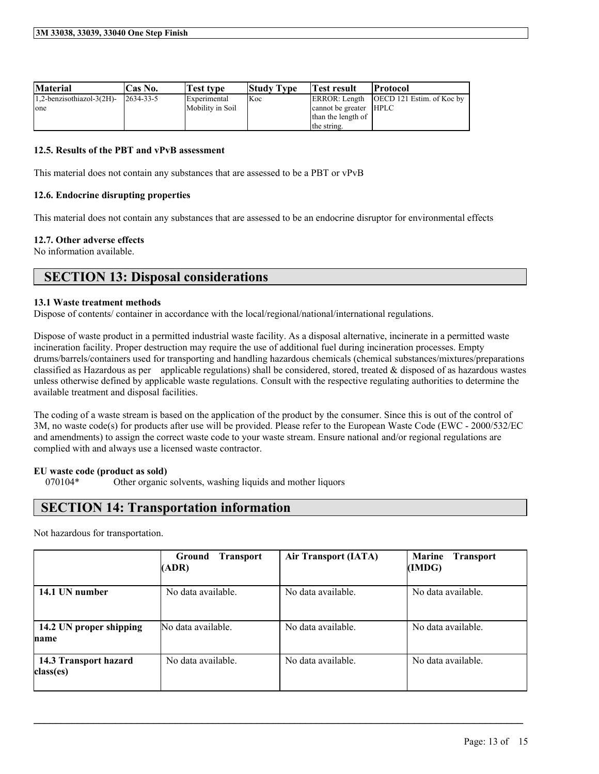| <b>Material</b>                  | Cas No.          | <b>Test type</b> | <b>Study Type</b> | Test result            | Protocol                                  |
|----------------------------------|------------------|------------------|-------------------|------------------------|-------------------------------------------|
| $1,2$ -benzisothiazol-3 $(2H)$ - | $12634 - 33 - 5$ | Experimental     | <b>Koc</b>        |                        | ERROR: Length [OECD 121 Estim. of Koc by] |
| one                              |                  | Mobility in Soil |                   | cannot be greater HPLC |                                           |
|                                  |                  |                  |                   | than the length of     |                                           |
|                                  |                  |                  |                   | the string.            |                                           |

#### **12.5. Results of the PBT and vPvB assessment**

This material does not contain any substances that are assessed to be a PBT or vPvB

#### **12.6. Endocrine disrupting properties**

This material does not contain any substances that are assessed to be an endocrine disruptor for environmental effects

#### **12.7. Other adverse effects**

No information available.

### **SECTION 13: Disposal considerations**

#### **13.1 Waste treatment methods**

Dispose of contents/ container in accordance with the local/regional/national/international regulations.

Dispose of waste product in a permitted industrial waste facility. As a disposal alternative, incinerate in a permitted waste incineration facility. Proper destruction may require the use of additional fuel during incineration processes. Empty drums/barrels/containers used for transporting and handling hazardous chemicals (chemical substances/mixtures/preparations classified as Hazardous as per applicable regulations) shall be considered, stored, treated  $\&$  disposed of as hazardous wastes unless otherwise defined by applicable waste regulations. Consult with the respective regulating authorities to determine the available treatment and disposal facilities.

The coding of a waste stream is based on the application of the product by the consumer. Since this is out of the control of 3M, no waste code(s) for products after use will be provided. Please refer to the European Waste Code (EWC - 2000/532/EC and amendments) to assign the correct waste code to your waste stream. Ensure national and/or regional regulations are complied with and always use a licensed waste contractor.

#### **EU waste code (product as sold)**

070104\* Other organic solvents, washing liquids and mother liquors

### **SECTION 14: Transportation information**

Not hazardous for transportation.

|                                    | Ground<br><b>Transport</b><br>(ADR) | <b>Air Transport (IATA)</b> | <b>Marine</b><br><b>Transport</b><br>(IMDG) |
|------------------------------------|-------------------------------------|-----------------------------|---------------------------------------------|
| 14.1 UN number                     | No data available.                  | No data available.          | No data available.                          |
| 14.2 UN proper shipping<br>name    | No data available.                  | No data available.          | No data available.                          |
| 14.3 Transport hazard<br>class(es) | No data available.                  | No data available.          | No data available.                          |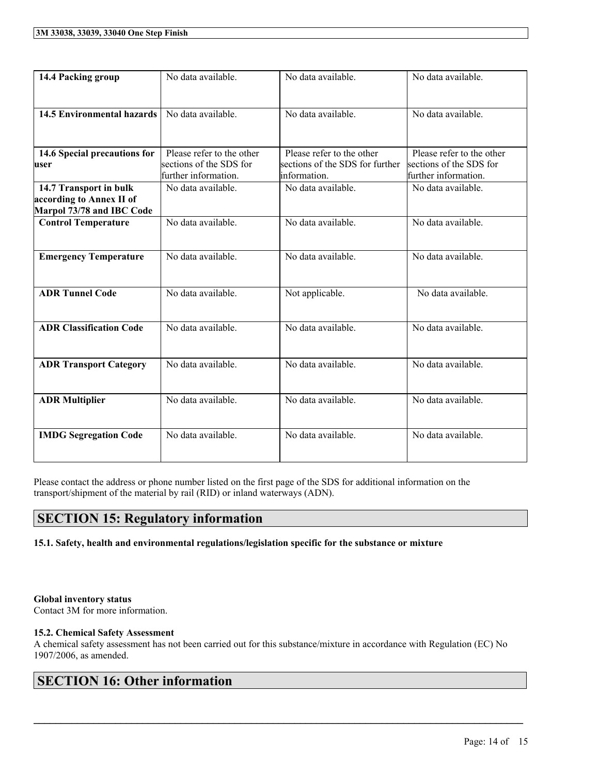| 14.4 Packing group                                                              | No data available.                                                           | No data available.                                                           | No data available.                                                           |
|---------------------------------------------------------------------------------|------------------------------------------------------------------------------|------------------------------------------------------------------------------|------------------------------------------------------------------------------|
| <b>14.5 Environmental hazards</b>                                               | No data available.                                                           | No data available.                                                           | No data available.                                                           |
| 14.6 Special precautions for<br>user                                            | Please refer to the other<br>sections of the SDS for<br>further information. | Please refer to the other<br>sections of the SDS for further<br>information. | Please refer to the other<br>sections of the SDS for<br>further information. |
| 14.7 Transport in bulk<br>according to Annex II of<br>Marpol 73/78 and IBC Code | No data available.                                                           | No data available.                                                           | No data available.                                                           |
| <b>Control Temperature</b>                                                      | No data available.                                                           | No data available.                                                           | No data available.                                                           |
| <b>Emergency Temperature</b>                                                    | No data available.                                                           | No data available.                                                           | No data available.                                                           |
| <b>ADR Tunnel Code</b>                                                          | No data available.                                                           | Not applicable.                                                              | No data available.                                                           |
| <b>ADR Classification Code</b>                                                  | No data available.                                                           | No data available.                                                           | No data available.                                                           |
| <b>ADR Transport Category</b>                                                   | No data available.                                                           | No data available.                                                           | No data available.                                                           |
| <b>ADR Multiplier</b>                                                           | No data available.                                                           | No data available.                                                           | No data available.                                                           |
| <b>IMDG Segregation Code</b>                                                    | No data available.                                                           | No data available.                                                           | No data available.                                                           |

Please contact the address or phone number listed on the first page of the SDS for additional information on the transport/shipment of the material by rail (RID) or inland waterways (ADN).

### **SECTION 15: Regulatory information**

**15.1. Safety, health and environmental regulations/legislation specific for the substance or mixture**

#### **Global inventory status**

Contact 3M for more information.

#### **15.2. Chemical Safety Assessment**

A chemical safety assessment has not been carried out for this substance/mixture in accordance with Regulation (EC) No 1907/2006, as amended.

 $\mathcal{L}_\mathcal{L} = \mathcal{L}_\mathcal{L} = \mathcal{L}_\mathcal{L} = \mathcal{L}_\mathcal{L} = \mathcal{L}_\mathcal{L} = \mathcal{L}_\mathcal{L} = \mathcal{L}_\mathcal{L} = \mathcal{L}_\mathcal{L} = \mathcal{L}_\mathcal{L} = \mathcal{L}_\mathcal{L} = \mathcal{L}_\mathcal{L} = \mathcal{L}_\mathcal{L} = \mathcal{L}_\mathcal{L} = \mathcal{L}_\mathcal{L} = \mathcal{L}_\mathcal{L} = \mathcal{L}_\mathcal{L} = \mathcal{L}_\mathcal{L}$ 

### **SECTION 16: Other information**